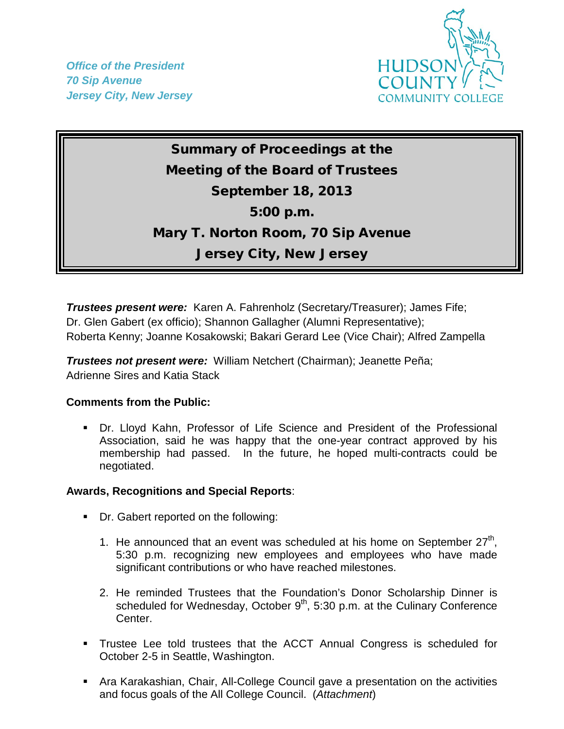*Office of the President 70 Sip Avenue Jersey City, New Jersey*



Summary of Proceedings at the Meeting of the Board of Trustees September 18, 2013 5:00 p.m. Mary T. Norton Room, 70 Sip Avenue Jersey City, New Jersey

*Trustees present were:* Karen A. Fahrenholz (Secretary/Treasurer); James Fife; Dr. Glen Gabert (ex officio); Shannon Gallagher (Alumni Representative); Roberta Kenny; Joanne Kosakowski; Bakari Gerard Lee (Vice Chair); Alfred Zampella

*Trustees not present were:* William Netchert (Chairman); Jeanette Peña; Adrienne Sires and Katia Stack

## **Comments from the Public:**

 Dr. Lloyd Kahn, Professor of Life Science and President of the Professional Association, said he was happy that the one-year contract approved by his membership had passed. In the future, he hoped multi-contracts could be negotiated.

## **Awards, Recognitions and Special Reports**:

- Dr. Gabert reported on the following:
	- 1. He announced that an event was scheduled at his home on September  $27<sup>th</sup>$ , 5:30 p.m. recognizing new employees and employees who have made significant contributions or who have reached milestones.
	- 2. He reminded Trustees that the Foundation's Donor Scholarship Dinner is scheduled for Wednesday, October  $9<sup>th</sup>$ , 5:30 p.m. at the Culinary Conference Center.
- Trustee Lee told trustees that the ACCT Annual Congress is scheduled for October 2-5 in Seattle, Washington.
- Ara Karakashian, Chair, All-College Council gave a presentation on the activities and focus goals of the All College Council. (*Attachment*)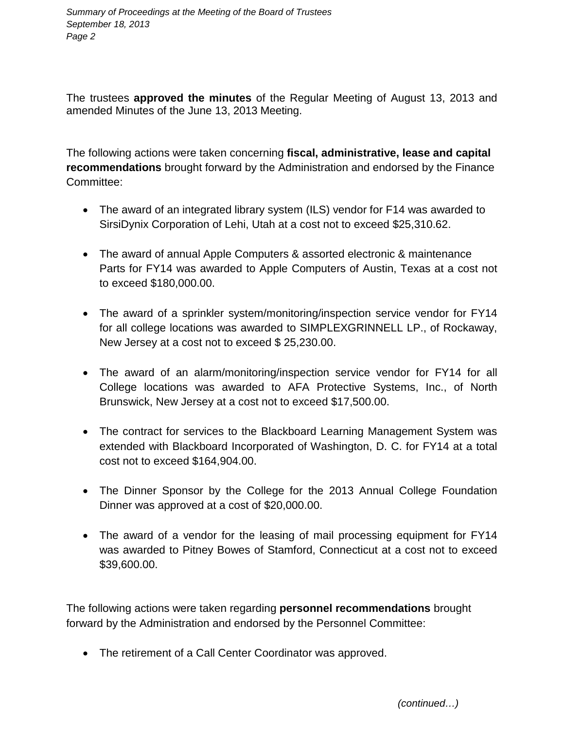The trustees **approved the minutes** of the Regular Meeting of August 13, 2013 and amended Minutes of the June 13, 2013 Meeting.

The following actions were taken concerning **fiscal, administrative, lease and capital recommendations** brought forward by the Administration and endorsed by the Finance Committee:

- The award of an integrated library system (ILS) vendor for F14 was awarded to SirsiDynix Corporation of Lehi, Utah at a cost not to exceed \$25,310.62.
- The award of annual Apple Computers & assorted electronic & maintenance Parts for FY14 was awarded to Apple Computers of Austin, Texas at a cost not to exceed \$180,000.00.
- The award of a sprinkler system/monitoring/inspection service vendor for FY14 for all college locations was awarded to SIMPLEXGRINNELL LP., of Rockaway, New Jersey at a cost not to exceed \$ 25,230.00.
- The award of an alarm/monitoring/inspection service vendor for FY14 for all College locations was awarded to AFA Protective Systems, Inc., of North Brunswick, New Jersey at a cost not to exceed \$17,500.00.
- The contract for services to the Blackboard Learning Management System was extended with Blackboard Incorporated of Washington, D. C. for FY14 at a total cost not to exceed \$164,904.00.
- The Dinner Sponsor by the College for the 2013 Annual College Foundation Dinner was approved at a cost of \$20,000.00.
- The award of a vendor for the leasing of mail processing equipment for FY14 was awarded to Pitney Bowes of Stamford, Connecticut at a cost not to exceed \$39,600.00.

The following actions were taken regarding **personnel recommendations** brought forward by the Administration and endorsed by the Personnel Committee:

• The retirement of a Call Center Coordinator was approved.